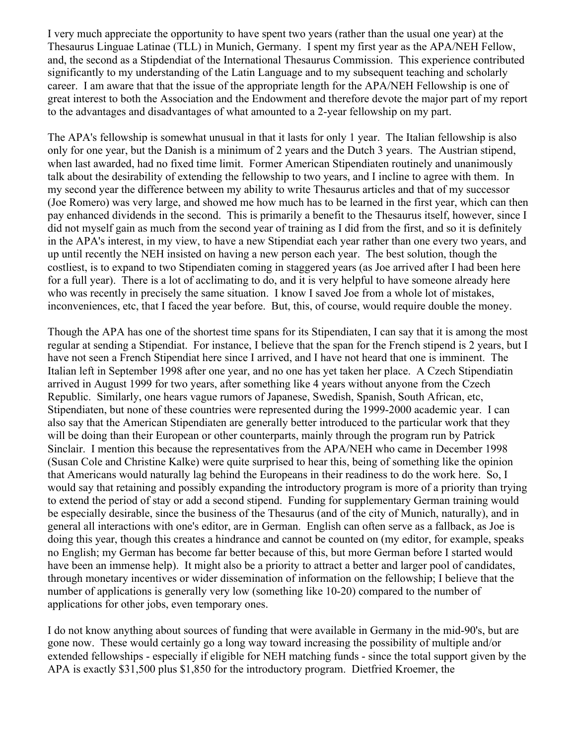I very much appreciate the opportunity to have spent two years (rather than the usual one year) at the Thesaurus Linguae Latinae (TLL) in Munich, Germany. I spent my first year as the APA/NEH Fellow, and, the second as a Stipdendiat of the International Thesaurus Commission. This experience contributed significantly to my understanding of the Latin Language and to my subsequent teaching and scholarly career. I am aware that that the issue of the appropriate length for the APA/NEH Fellowship is one of great interest to both the Association and the Endowment and therefore devote the major part of my report to the advantages and disadvantages of what amounted to a 2-year fellowship on my part.

The APA's fellowship is somewhat unusual in that it lasts for only 1 year. The Italian fellowship is also only for one year, but the Danish is a minimum of 2 years and the Dutch 3 years. The Austrian stipend, when last awarded, had no fixed time limit. Former American Stipendiaten routinely and unanimously talk about the desirability of extending the fellowship to two years, and I incline to agree with them. In my second year the difference between my ability to write Thesaurus articles and that of my successor (Joe Romero) was very large, and showed me how much has to be learned in the first year, which can then pay enhanced dividends in the second. This is primarily a benefit to the Thesaurus itself, however, since I did not myself gain as much from the second year of training as I did from the first, and so it is definitely in the APA's interest, in my view, to have a new Stipendiat each year rather than one every two years, and up until recently the NEH insisted on having a new person each year. The best solution, though the costliest, is to expand to two Stipendiaten coming in staggered years (as Joe arrived after I had been here for a full year). There is a lot of acclimating to do, and it is very helpful to have someone already here who was recently in precisely the same situation. I know I saved Joe from a whole lot of mistakes, inconveniences, etc, that I faced the year before. But, this, of course, would require double the money.

Though the APA has one of the shortest time spans for its Stipendiaten, I can say that it is among the most regular at sending a Stipendiat. For instance, I believe that the span for the French stipend is 2 years, but I have not seen a French Stipendiat here since I arrived, and I have not heard that one is imminent. The Italian left in September 1998 after one year, and no one has yet taken her place. A Czech Stipendiatin arrived in August 1999 for two years, after something like 4 years without anyone from the Czech Republic. Similarly, one hears vague rumors of Japanese, Swedish, Spanish, South African, etc, Stipendiaten, but none of these countries were represented during the 1999-2000 academic year. I can also say that the American Stipendiaten are generally better introduced to the particular work that they will be doing than their European or other counterparts, mainly through the program run by Patrick Sinclair. I mention this because the representatives from the APA/NEH who came in December 1998 (Susan Cole and Christine Kalke) were quite surprised to hear this, being of something like the opinion that Americans would naturally lag behind the Europeans in their readiness to do the work here. So, I would say that retaining and possibly expanding the introductory program is more of a priority than trying to extend the period of stay or add a second stipend. Funding for supplementary German training would be especially desirable, since the business of the Thesaurus (and of the city of Munich, naturally), and in general all interactions with one's editor, are in German. English can often serve as a fallback, as Joe is doing this year, though this creates a hindrance and cannot be counted on (my editor, for example, speaks no English; my German has become far better because of this, but more German before I started would have been an immense help). It might also be a priority to attract a better and larger pool of candidates, through monetary incentives or wider dissemination of information on the fellowship; I believe that the number of applications is generally very low (something like 10-20) compared to the number of applications for other jobs, even temporary ones.

I do not know anything about sources of funding that were available in Germany in the mid-90's, but are gone now. These would certainly go a long way toward increasing the possibility of multiple and/or extended fellowships - especially if eligible for NEH matching funds - since the total support given by the APA is exactly \$31,500 plus \$1,850 for the introductory program. Dietfried Kroemer, the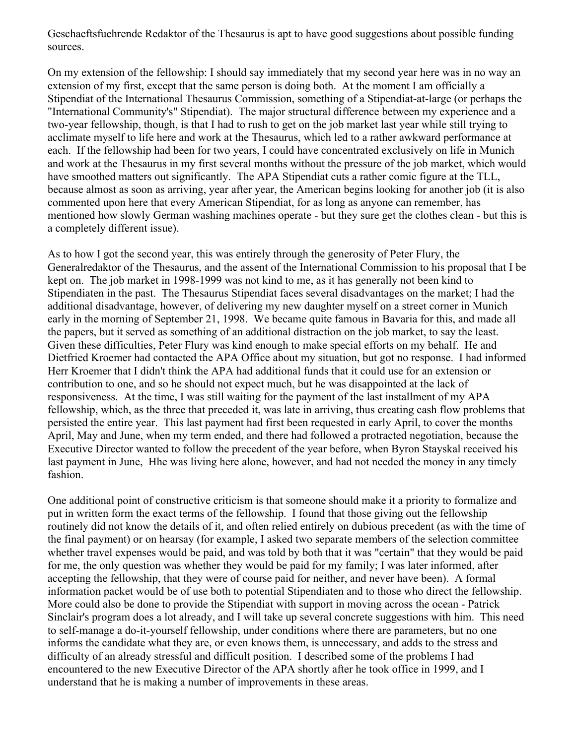Geschaeftsfuehrende Redaktor of the Thesaurus is apt to have good suggestions about possible funding sources.

On my extension of the fellowship: I should say immediately that my second year here was in no way an extension of my first, except that the same person is doing both. At the moment I am officially a Stipendiat of the International Thesaurus Commission, something of a Stipendiat-at-large (or perhaps the "International Community's" Stipendiat). The major structural difference between my experience and a two-year fellowship, though, is that I had to rush to get on the job market last year while still trying to acclimate myself to life here and work at the Thesaurus, which led to a rather awkward performance at each. If the fellowship had been for two years, I could have concentrated exclusively on life in Munich and work at the Thesaurus in my first several months without the pressure of the job market, which would have smoothed matters out significantly. The APA Stipendiat cuts a rather comic figure at the TLL, because almost as soon as arriving, year after year, the American begins looking for another job (it is also commented upon here that every American Stipendiat, for as long as anyone can remember, has mentioned how slowly German washing machines operate - but they sure get the clothes clean - but this is a completely different issue).

As to how I got the second year, this was entirely through the generosity of Peter Flury, the Generalredaktor of the Thesaurus, and the assent of the International Commission to his proposal that I be kept on. The job market in 1998-1999 was not kind to me, as it has generally not been kind to Stipendiaten in the past. The Thesaurus Stipendiat faces several disadvantages on the market; I had the additional disadvantage, however, of delivering my new daughter myself on a street corner in Munich early in the morning of September 21, 1998. We became quite famous in Bavaria for this, and made all the papers, but it served as something of an additional distraction on the job market, to say the least. Given these difficulties, Peter Flury was kind enough to make special efforts on my behalf. He and Dietfried Kroemer had contacted the APA Office about my situation, but got no response. I had informed Herr Kroemer that I didn't think the APA had additional funds that it could use for an extension or contribution to one, and so he should not expect much, but he was disappointed at the lack of responsiveness. At the time, I was still waiting for the payment of the last installment of my APA fellowship, which, as the three that preceded it, was late in arriving, thus creating cash flow problems that persisted the entire year. This last payment had first been requested in early April, to cover the months April, May and June, when my term ended, and there had followed a protracted negotiation, because the Executive Director wanted to follow the precedent of the year before, when Byron Stayskal received his last payment in June, Hhe was living here alone, however, and had not needed the money in any timely fashion.

One additional point of constructive criticism is that someone should make it a priority to formalize and put in written form the exact terms of the fellowship. I found that those giving out the fellowship routinely did not know the details of it, and often relied entirely on dubious precedent (as with the time of the final payment) or on hearsay (for example, I asked two separate members of the selection committee whether travel expenses would be paid, and was told by both that it was "certain" that they would be paid for me, the only question was whether they would be paid for my family; I was later informed, after accepting the fellowship, that they were of course paid for neither, and never have been). A formal information packet would be of use both to potential Stipendiaten and to those who direct the fellowship. More could also be done to provide the Stipendiat with support in moving across the ocean - Patrick Sinclair's program does a lot already, and I will take up several concrete suggestions with him. This need to self-manage a do-it-yourself fellowship, under conditions where there are parameters, but no one informs the candidate what they are, or even knows them, is unnecessary, and adds to the stress and difficulty of an already stressful and difficult position. I described some of the problems I had encountered to the new Executive Director of the APA shortly after he took office in 1999, and I understand that he is making a number of improvements in these areas.